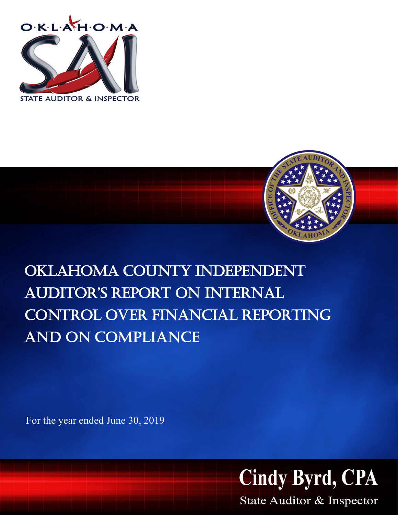



# **OKLAHOMA COUNTY INDEPENDENT** AUDITOR'S REPORT ON INTERNAL CONTROL OVER FINANCIAL REPORTING AND ON COMPLIANCE

For the year ended June 30, 2019



State Auditor & Inspector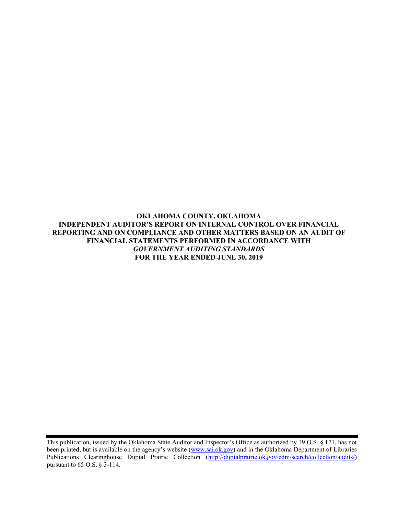**OKLAHOMA COUNTY, OKLAHOMA INDEPENDENT AUDITOR'S REPORT ON INTERNAL CONTROL OVER FINANCIAL REPORTING AND ON COMPLIANCE AND OTHER MATTERS BASED ON AN AUDIT OF FINANCIAL STATEMENTS PERFORMED IN ACCORDANCE WITH**  *GOVERNMENT AUDITING STANDARDS* **FOR THE YEAR ENDED JUNE 30, 2019**

This publication, issued by the Oklahoma State Auditor and Inspector's Office as authorized by 19 O.S. § 171, has not been printed, but is available on the agency's website [\(www.sai.ok.gov\)](http://www.sai.ok.gov/) and in the Oklahoma Department of Libraries Publications Clearinghouse Digital Prairie Collection [\(http://digitalprairie.ok.gov/cdm/search/collection/audits/\)](http://digitalprairie.ok.gov/cdm/search/collection/audits/) pursuant to 65 O.S. § 3-114.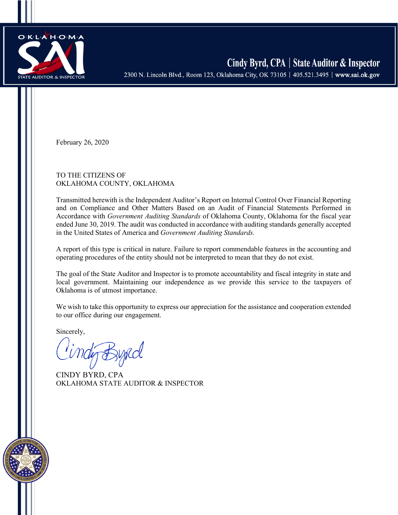

Cindy Byrd, CPA | State Auditor & Inspector 2300 N. Lincoln Blvd., Room 123, Oklahoma City, OK 73105 | 405.521.3495 | www.sai.ok.gov

February 26, 2020

# TO THE CITIZENS OF OKLAHOMA COUNTY, OKLAHOMA

Transmitted herewith is the Independent Auditor's Report on Internal Control Over Financial Reporting and on Compliance and Other Matters Based on an Audit of Financial Statements Performed in Accordance with *Government Auditing Standards* of Oklahoma County, Oklahoma for the fiscal year ended June 30, 2019. The audit was conducted in accordance with auditing standards generally accepted in the United States of America and *Government Auditing Standards.*

A report of this type is critical in nature. Failure to report commendable features in the accounting and operating procedures of the entity should not be interpreted to mean that they do not exist.

The goal of the State Auditor and Inspector is to promote accountability and fiscal integrity in state and local government. Maintaining our independence as we provide this service to the taxpayers of Oklahoma is of utmost importance.

We wish to take this opportunity to express our appreciation for the assistance and cooperation extended to our office during our engagement.

Sincerely,

CINDY BYRD, CPA OKLAHOMA STATE AUDITOR & INSPECTOR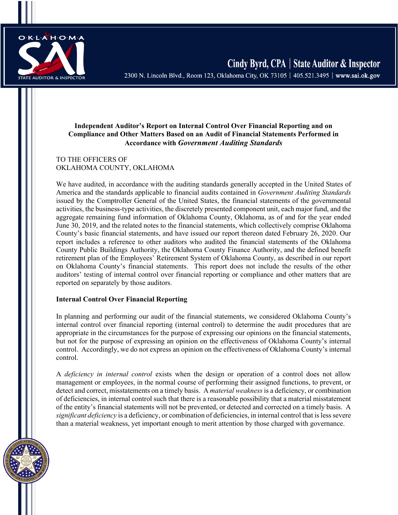

# **Independent Auditor's Report on Internal Control Over Financial Reporting and on Compliance and Other Matters Based on an Audit of Financial Statements Performed in Accordance with** *Government Auditing Standards*

# TO THE OFFICERS OF OKLAHOMA COUNTY, OKLAHOMA

We have audited, in accordance with the auditing standards generally accepted in the United States of America and the standards applicable to financial audits contained in *Government Auditing Standards* issued by the Comptroller General of the United States, the financial statements of the governmental activities, the business-type activities, the discretely presented component unit, each major fund, and the aggregate remaining fund information of Oklahoma County, Oklahoma, as of and for the year ended June 30, 2019, and the related notes to the financial statements, which collectively comprise Oklahoma County's basic financial statements, and have issued our report thereon dated February 26, 2020. Our report includes a reference to other auditors who audited the financial statements of the Oklahoma County Public Buildings Authority, the Oklahoma County Finance Authority, and the defined benefit retirement plan of the Employees' Retirement System of Oklahoma County, as described in our report on Oklahoma County's financial statements. This report does not include the results of the other auditors' testing of internal control over financial reporting or compliance and other matters that are reported on separately by those auditors.

## **Internal Control Over Financial Reporting**

In planning and performing our audit of the financial statements, we considered Oklahoma County's internal control over financial reporting (internal control) to determine the audit procedures that are appropriate in the circumstances for the purpose of expressing our opinions on the financial statements, but not for the purpose of expressing an opinion on the effectiveness of Oklahoma County's internal control. Accordingly, we do not express an opinion on the effectiveness of Oklahoma County's internal control.

A *deficiency in internal control* exists when the design or operation of a control does not allow management or employees, in the normal course of performing their assigned functions, to prevent, or detect and correct, misstatements on a timely basis. A *material weakness* is a deficiency, or combination of deficiencies, in internal control such that there is a reasonable possibility that a material misstatement of the entity's financial statements will not be prevented, or detected and corrected on a timely basis. A *significant deficiency* is a deficiency, or combination of deficiencies, in internal control that is less severe than a material weakness, yet important enough to merit attention by those charged with governance.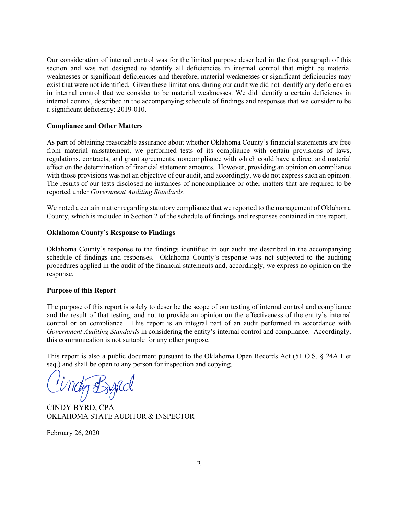Our consideration of internal control was for the limited purpose described in the first paragraph of this section and was not designed to identify all deficiencies in internal control that might be material weaknesses or significant deficiencies and therefore, material weaknesses or significant deficiencies may exist that were not identified. Given these limitations, during our audit we did not identify any deficiencies in internal control that we consider to be material weaknesses. We did identify a certain deficiency in internal control, described in the accompanying schedule of findings and responses that we consider to be a significant deficiency: 2019-010.

#### **Compliance and Other Matters**

As part of obtaining reasonable assurance about whether Oklahoma County's financial statements are free from material misstatement, we performed tests of its compliance with certain provisions of laws, regulations, contracts, and grant agreements, noncompliance with which could have a direct and material effect on the determination of financial statement amounts. However, providing an opinion on compliance with those provisions was not an objective of our audit, and accordingly, we do not express such an opinion. The results of our tests disclosed no instances of noncompliance or other matters that are required to be reported under *Government Auditing Standards*.

We noted a certain matter regarding statutory compliance that we reported to the management of Oklahoma County, which is included in Section 2 of the schedule of findings and responses contained in this report.

#### **Oklahoma County's Response to Findings**

Oklahoma County's response to the findings identified in our audit are described in the accompanying schedule of findings and responses. Oklahoma County's response was not subjected to the auditing procedures applied in the audit of the financial statements and, accordingly, we express no opinion on the response.

#### **Purpose of this Report**

The purpose of this report is solely to describe the scope of our testing of internal control and compliance and the result of that testing, and not to provide an opinion on the effectiveness of the entity's internal control or on compliance. This report is an integral part of an audit performed in accordance with *Government Auditing Standards* in considering the entity's internal control and compliance. Accordingly, this communication is not suitable for any other purpose.

This report is also a public document pursuant to the Oklahoma Open Records Act (51 O.S. § 24A.1 et seq.) and shall be open to any person for inspection and copying.

ndig Byp

CINDY BYRD, CPA OKLAHOMA STATE AUDITOR & INSPECTOR

February 26, 2020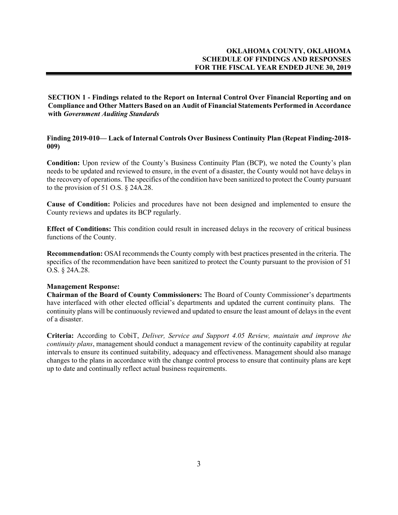# **SECTION 1 - Findings related to the Report on Internal Control Over Financial Reporting and on Compliance and Other Matters Based on an Audit of Financial Statements Performed in Accordance with** *Government Auditing Standards*

## **Finding 2019-010— Lack of Internal Controls Over Business Continuity Plan (Repeat Finding-2018- 009)**

**Condition:** Upon review of the County's Business Continuity Plan (BCP), we noted the County's plan needs to be updated and reviewed to ensure, in the event of a disaster, the County would not have delays in the recovery of operations. The specifics of the condition have been sanitized to protect the County pursuant to the provision of 51 O.S. § 24A.28.

**Cause of Condition:** Policies and procedures have not been designed and implemented to ensure the County reviews and updates its BCP regularly.

**Effect of Conditions:** This condition could result in increased delays in the recovery of critical business functions of the County.

**Recommendation:** OSAI recommends the County comply with best practices presented in the criteria. The specifics of the recommendation have been sanitized to protect the County pursuant to the provision of 51 O.S. § 24A.28.

## **Management Response:**

**Chairman of the Board of County Commissioners:** The Board of County Commissioner's departments have interfaced with other elected official's departments and updated the current continuity plans. The continuity plans will be continuously reviewed and updated to ensure the least amount of delays in the event of a disaster.

**Criteria:** According to CobiT, *Deliver, Service and Support 4.05 Review, maintain and improve the continuity plans*, management should conduct a management review of the continuity capability at regular intervals to ensure its continued suitability, adequacy and effectiveness. Management should also manage changes to the plans in accordance with the change control process to ensure that continuity plans are kept up to date and continually reflect actual business requirements.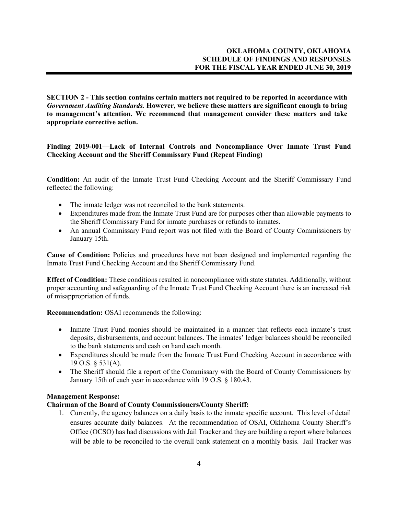**SECTION 2 - This section contains certain matters not required to be reported in accordance with**  *Government Auditing Standards.* **However, we believe these matters are significant enough to bring to management's attention. We recommend that management consider these matters and take appropriate corrective action.**

# **Finding 2019-001—Lack of Internal Controls and Noncompliance Over Inmate Trust Fund Checking Account and the Sheriff Commissary Fund (Repeat Finding)**

**Condition:** An audit of the Inmate Trust Fund Checking Account and the Sheriff Commissary Fund reflected the following:

- The inmate ledger was not reconciled to the bank statements.
- Expenditures made from the Inmate Trust Fund are for purposes other than allowable payments to the Sheriff Commissary Fund for inmate purchases or refunds to inmates.
- An annual Commissary Fund report was not filed with the Board of County Commissioners by January 15th.

**Cause of Condition:** Policies and procedures have not been designed and implemented regarding the Inmate Trust Fund Checking Account and the Sheriff Commissary Fund.

**Effect of Condition:** These conditions resulted in noncompliance with state statutes. Additionally, without proper accounting and safeguarding of the Inmate Trust Fund Checking Account there is an increased risk of misappropriation of funds.

**Recommendation:** OSAI recommends the following:

- Inmate Trust Fund monies should be maintained in a manner that reflects each inmate's trust deposits, disbursements, and account balances. The inmates' ledger balances should be reconciled to the bank statements and cash on hand each month.
- Expenditures should be made from the Inmate Trust Fund Checking Account in accordance with 19 O.S. § 531(A).
- The Sheriff should file a report of the Commissary with the Board of County Commissioners by January 15th of each year in accordance with 19 O.S. § 180.43.

## **Management Response:**

## **Chairman of the Board of County Commissioners/County Sheriff:**

1. Currently, the agency balances on a daily basis to the inmate specific account. This level of detail ensures accurate daily balances. At the recommendation of OSAI, Oklahoma County Sheriff's Office (OCSO) has had discussions with Jail Tracker and they are building a report where balances will be able to be reconciled to the overall bank statement on a monthly basis. Jail Tracker was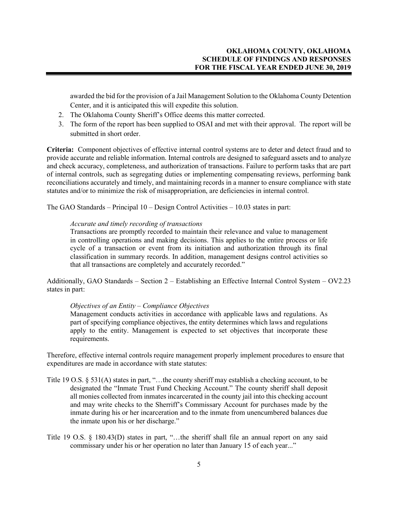awarded the bid for the provision of a Jail Management Solution to the Oklahoma County Detention Center, and it is anticipated this will expedite this solution.

- 2. The Oklahoma County Sheriff's Office deems this matter corrected.
- 3. The form of the report has been supplied to OSAI and met with their approval. The report will be submitted in short order.

**Criteria:** Component objectives of effective internal control systems are to deter and detect fraud and to provide accurate and reliable information. Internal controls are designed to safeguard assets and to analyze and check accuracy, completeness, and authorization of transactions. Failure to perform tasks that are part of internal controls, such as segregating duties or implementing compensating reviews, performing bank reconciliations accurately and timely, and maintaining records in a manner to ensure compliance with state statutes and/or to minimize the risk of misappropriation, are deficiencies in internal control.

The GAO Standards – Principal 10 – Design Control Activities – 10.03 states in part:

#### *Accurate and timely recording of transactions*

Transactions are promptly recorded to maintain their relevance and value to management in controlling operations and making decisions. This applies to the entire process or life cycle of a transaction or event from its initiation and authorization through its final classification in summary records. In addition, management designs control activities so that all transactions are completely and accurately recorded."

Additionally, GAO Standards – Section 2 – Establishing an Effective Internal Control System – OV2.23 states in part:

#### *Objectives of an Entity – Compliance Objectives*

Management conducts activities in accordance with applicable laws and regulations. As part of specifying compliance objectives, the entity determines which laws and regulations apply to the entity. Management is expected to set objectives that incorporate these requirements.

Therefore, effective internal controls require management properly implement procedures to ensure that expenditures are made in accordance with state statutes:

- Title 19 O.S. § 531(A) states in part, "…the county sheriff may establish a checking account, to be designated the "Inmate Trust Fund Checking Account." The county sheriff shall deposit all monies collected from inmates incarcerated in the county jail into this checking account and may write checks to the Sherriff's Commissary Account for purchases made by the inmate during his or her incarceration and to the inmate from unencumbered balances due the inmate upon his or her discharge."
- Title 19 O.S. § 180.43(D) states in part, "…the sheriff shall file an annual report on any said commissary under his or her operation no later than January 15 of each year..."